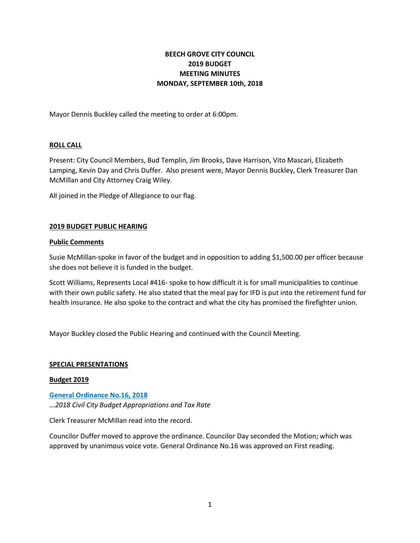# **BEECH GROVE CITY COUNCIL 2019 BUDGET MEETING MINUTES MONDAY, SEPTEMBER 10th, 2018**

Mayor Dennis Buckley called the meeting to order at 6:00pm.

## **ROLL CALL**

Present: City Council Members, Bud Templin, Jim Brooks, Dave Harrison, Vito Mascari, Elizabeth Lamping, Kevin Day and Chris Duffer. Also present were, Mayor Dennis Buckley, Clerk Treasurer Dan McMillan and City Attorney Craig Wiley.

All joined in the Pledge of Allegiance to our flag.

## **2019 BUDGET PUBLIC HEARING**

## **Public Comments**

Susie McMillan-spoke in favor of the budget and in opposition to adding \$1,500.00 per officer because she does not believe it is funded in the budget.

Scott Williams, Represents Local #416- spoke to how difficult it is for small municipalities to continue with their own public safety. He also stated that the meal pay for IFD is put into the retirement fund for health insurance. He also spoke to the contract and what the city has promised the firefighter union.

Mayor Buckley closed the Public Hearing and continued with the Council Meeting.

#### **SPECIAL PRESENTATIONS**

#### **Budget 2019**

**[General Ordinance No.16, 2018](http://www.beechgrove.com/uploads/1/0/1/2/10129925/general_ordinance_no._16_2018.pdf)**

*...2018 Civil City Budget Appropriations and Tax Rate*

Clerk Treasurer McMillan read into the record.

Councilor Duffer moved to approve the ordinance. Councilor Day seconded the Motion; which was approved by unanimous voice vote. General Ordinance No.16 was approved on First reading.